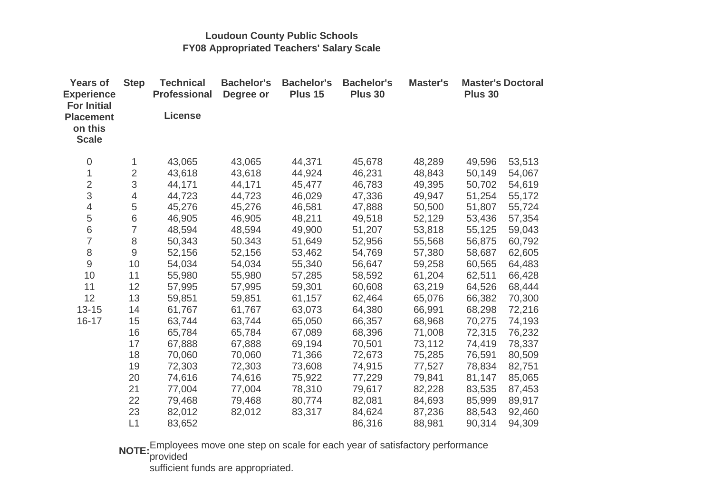## **Loudoun County Public SchoolsFY08 Appropriated Teachers' Salary Scale**

| <b>Years of</b><br><b>Experience</b><br><b>For Initial</b> | <b>Step</b>    | <b>Technical</b><br><b>Professional</b> | <b>Bachelor's</b><br>Degree or | <b>Bachelor's</b><br>Plus 15 | <b>Bachelor's</b><br>Plus 30 | Master's | <b>Master's Doctoral</b><br>Plus 30 |        |
|------------------------------------------------------------|----------------|-----------------------------------------|--------------------------------|------------------------------|------------------------------|----------|-------------------------------------|--------|
| <b>Placement</b><br>on this<br><b>Scale</b>                |                | <b>License</b>                          |                                |                              |                              |          |                                     |        |
| 0                                                          | 1              | 43,065                                  | 43,065                         | 44,371                       | 45,678                       | 48,289   | 49,596                              | 53,513 |
| $\mathbf 1$                                                | $\overline{2}$ | 43,618                                  | 43,618                         | 44,924                       | 46,231                       | 48,843   | 50,149                              | 54,067 |
| $\overline{c}$                                             | 3              | 44,171                                  | 44,171                         | 45,477                       | 46,783                       | 49,395   | 50,702                              | 54,619 |
| 3                                                          | $\overline{4}$ | 44,723                                  | 44,723                         | 46,029                       | 47,336                       | 49,947   | 51,254                              | 55,172 |
| $\overline{4}$                                             | $\mathbf 5$    | 45,276                                  | 45,276                         | 46,581                       | 47,888                       | 50,500   | 51,807                              | 55,724 |
| 5                                                          | 6              | 46,905                                  | 46,905                         | 48,211                       | 49,518                       | 52,129   | 53,436                              | 57,354 |
| $\overline{6}$                                             | $\overline{7}$ | 48,594                                  | 48,594                         | 49,900                       | 51,207                       | 53,818   | 55,125                              | 59,043 |
| $\overline{7}$                                             | 8              | 50,343                                  | 50.343                         | 51,649                       | 52,956                       | 55,568   | 56,875                              | 60,792 |
| 8                                                          | $\mathsf 9$    | 52,156                                  | 52,156                         | 53,462                       | 54,769                       | 57,380   | 58,687                              | 62,605 |
| $\mathbf 9$                                                | 10             | 54,034                                  | 54,034                         | 55,340                       | 56,647                       | 59,258   | 60,565                              | 64,483 |
| 10                                                         | 11             | 55,980                                  | 55,980                         | 57,285                       | 58,592                       | 61,204   | 62,511                              | 66,428 |
| 11                                                         | 12             | 57,995                                  | 57,995                         | 59,301                       | 60,608                       | 63,219   | 64,526                              | 68,444 |
| 12                                                         | 13             | 59,851                                  | 59,851                         | 61,157                       | 62,464                       | 65,076   | 66,382                              | 70,300 |
| $13 - 15$                                                  | 14             | 61,767                                  | 61,767                         | 63,073                       | 64,380                       | 66,991   | 68,298                              | 72,216 |
| $16 - 17$                                                  | 15             | 63,744                                  | 63,744                         | 65,050                       | 66,357                       | 68,968   | 70,275                              | 74,193 |
|                                                            | 16             | 65,784                                  | 65,784                         | 67,089                       | 68,396                       | 71,008   | 72,315                              | 76,232 |
|                                                            | 17             | 67,888                                  | 67,888                         | 69,194                       | 70,501                       | 73,112   | 74,419                              | 78,337 |
|                                                            | 18             | 70,060                                  | 70,060                         | 71,366                       | 72,673                       | 75,285   | 76,591                              | 80,509 |
|                                                            | 19             | 72,303                                  | 72,303                         | 73,608                       | 74,915                       | 77,527   | 78,834                              | 82,751 |
|                                                            | 20             | 74,616                                  | 74,616                         | 75,922                       | 77,229                       | 79,841   | 81,147                              | 85,065 |
|                                                            | 21             | 77,004                                  | 77,004                         | 78,310                       | 79,617                       | 82,228   | 83,535                              | 87,453 |
|                                                            | 22             | 79,468                                  | 79,468                         | 80,774                       | 82,081                       | 84,693   | 85,999                              | 89,917 |
|                                                            | 23             | 82,012                                  | 82,012                         | 83,317                       | 84,624                       | 87,236   | 88,543                              | 92,460 |
|                                                            | L1             | 83,652                                  |                                |                              | 86,316                       | 88,981   | 90,314                              | 94,309 |

**NOTE:** Employees move one step on scale for each year of satisfactory performance provided

sufficient funds are appropriated.